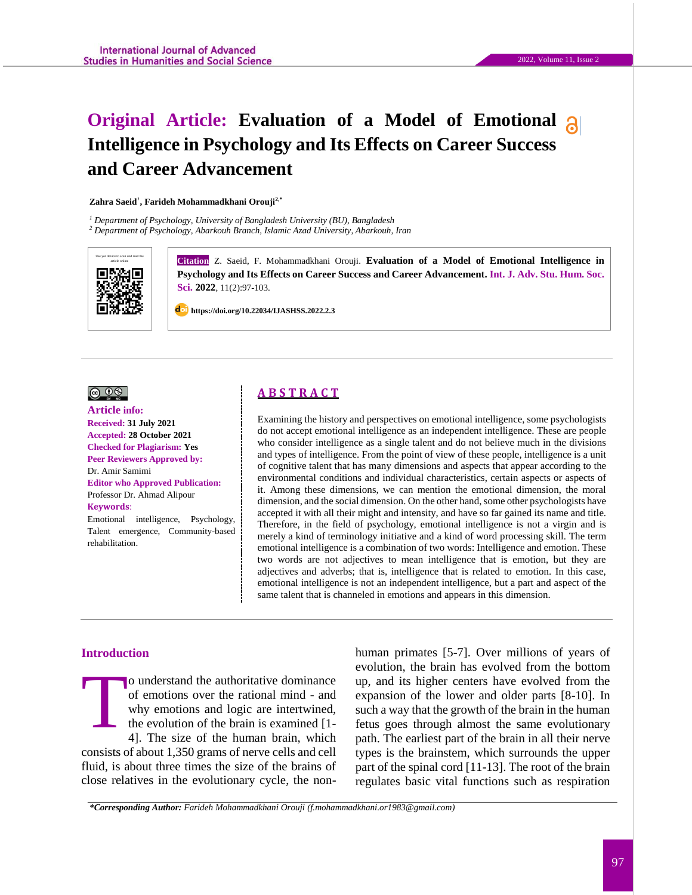# **Original Article: Evaluation of a Model of Emotional Intelligence in Psychology and Its Effects on Career Success and Career Advancement**

**Zahra Saeid<sup>1</sup> , Farideh Mohammadkhani Orouji2,\***

*<sup>1</sup> Department of Psychology, University of Bangladesh University (BU), Bangladesh*

*<sup>2</sup> Department of Psychology, Abarkouh Branch, Islamic Azad University, Abarkouh, Iran*



**Citation** Z. Saeid, F. Mohammadkhani Orouji. **Evaluation of a Model of Emotional Intelligence in Psychology and Its Effects on Career Success and Career Advancement. Int. J. Adv. Stu. Hum. Soc. Sci. 2022**, 11(2):97-103.

 **https://doi.org/10.22034/IJASHSS.2022.2.3**

#### $\circledcirc$

### **Article info: Received: 31 July 2021 Accepted: 28 October 2021 Checked for Plagiarism: Yes**

**Peer Reviewers Approved by:**  Dr. Amir Samimi **Editor who Approved Publication:**  [Professor Dr. Ahmad Alipour](http://www.ijashss.com/journal/editorial.board?edbc=8091) **Keywords**:

Emotional intelligence, Psychology, Talent emergence, Community-based rehabilitation.

# **A B S T R A C T**

Examining the history and perspectives on emotional intelligence, some psychologists do not accept emotional intelligence as an independent intelligence. These are people who consider intelligence as a single talent and do not believe much in the divisions and types of intelligence. From the point of view of these people, intelligence is a unit of cognitive talent that has many dimensions and aspects that appear according to the environmental conditions and individual characteristics, certain aspects or aspects of it. Among these dimensions, we can mention the emotional dimension, the moral dimension, and the social dimension. On the other hand, some other psychologists have accepted it with all their might and intensity, and have so far gained its name and title. Therefore, in the field of psychology, emotional intelligence is not a virgin and is merely a kind of terminology initiative and a kind of word processing skill. The term emotional intelligence is a combination of two words: Intelligence and emotion. These two words are not adjectives to mean intelligence that is emotion, but they are adjectives and adverbs; that is, intelligence that is related to emotion. In this case, emotional intelligence is not an independent intelligence, but a part and aspect of the same talent that is channeled in emotions and appears in this dimension.

### **Introduction**

o understand the authoritative dominance of emotions over the rational mind - and why emotions and logic are intertwined, the evolution of the brain is examined [1- 4]. The size of the human brain, which consists of about 1,350 grams of nerve cells and cell fluid, is about three times the size of the brains of close relatives in the evolutionary cycle, the non-T

human primates [5-7]. Over millions of years of evolution, the brain has evolved from the bottom up, and its higher centers have evolved from the expansion of the lower and older parts [8-10]. In such a way that the growth of the brain in the human fetus goes through almost the same evolutionary path. The earliest part of the brain in all their nerve types is the brainstem, which surrounds the upper part of the spinal cord [11-13]. The root of the brain regulates basic vital functions such as respiration

*\*Corresponding Author: Farideh Mohammadkhani Orouji (f.mohammadkhani.or1983@gmail.com)*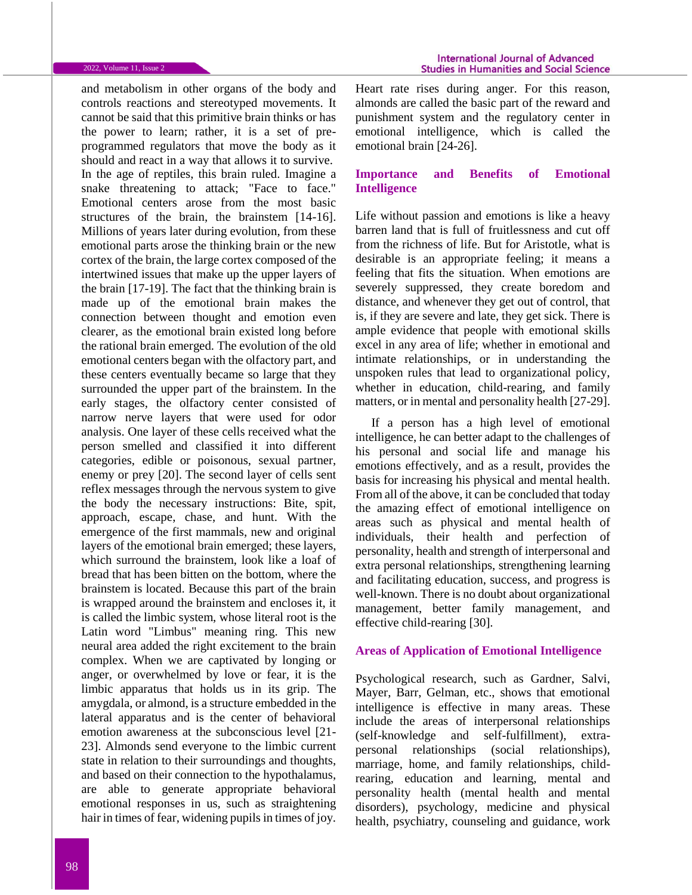and metabolism in other organs of the body and controls reactions and stereotyped movements. It cannot be said that this primitive brain thinks or has the power to learn; rather, it is a set of preprogrammed regulators that move the body as it should and react in a way that allows it to survive. In the age of reptiles, this brain ruled. Imagine a snake threatening to attack; "Face to face." Emotional centers arose from the most basic structures of the brain, the brainstem [14-16]. Millions of years later during evolution, from these emotional parts arose the thinking brain or the new cortex of the brain, the large cortex composed of the intertwined issues that make up the upper layers of the brain [17-19]. The fact that the thinking brain is made up of the emotional brain makes the connection between thought and emotion even clearer, as the emotional brain existed long before the rational brain emerged. The evolution of the old emotional centers began with the olfactory part, and these centers eventually became so large that they surrounded the upper part of the brainstem. In the early stages, the olfactory center consisted of narrow nerve layers that were used for odor analysis. One layer of these cells received what the person smelled and classified it into different categories, edible or poisonous, sexual partner, enemy or prey [20]. The second layer of cells sent reflex messages through the nervous system to give the body the necessary instructions: Bite, spit, approach, escape, chase, and hunt. With the emergence of the first mammals, new and original layers of the emotional brain emerged; these layers, which surround the brainstem, look like a loaf of bread that has been bitten on the bottom, where the brainstem is located. Because this part of the brain is wrapped around the brainstem and encloses it, it is called the limbic system, whose literal root is the Latin word "Limbus" meaning ring. This new neural area added the right excitement to the brain complex. When we are captivated by longing or anger, or overwhelmed by love or fear, it is the limbic apparatus that holds us in its grip. The amygdala, or almond, is a structure embedded in the lateral apparatus and is the center of behavioral emotion awareness at the subconscious level [21- 23]. Almonds send everyone to the limbic current state in relation to their surroundings and thoughts, and based on their connection to the hypothalamus, are able to generate appropriate behavioral emotional responses in us, such as straightening hair in times of fear, widening pupils in times of joy.

Heart rate rises during anger. For this reason, almonds are called the basic part of the reward and punishment system and the regulatory center in emotional intelligence, which is called the emotional brain [24-26].

## **Importance and Benefits of Emotional Intelligence**

Life without passion and emotions is like a heavy barren land that is full of fruitlessness and cut off from the richness of life. But for Aristotle, what is desirable is an appropriate feeling; it means a feeling that fits the situation. When emotions are severely suppressed, they create boredom and distance, and whenever they get out of control, that is, if they are severe and late, they get sick. There is ample evidence that people with emotional skills excel in any area of life; whether in emotional and intimate relationships, or in understanding the unspoken rules that lead to organizational policy, whether in education, child-rearing, and family matters, or in mental and personality health [27-29].

If a person has a high level of emotional intelligence, he can better adapt to the challenges of his personal and social life and manage his emotions effectively, and as a result, provides the basis for increasing his physical and mental health. From all of the above, it can be concluded that today the amazing effect of emotional intelligence on areas such as physical and mental health of individuals, their health and perfection of personality, health and strength of interpersonal and extra personal relationships, strengthening learning and facilitating education, success, and progress is well-known. There is no doubt about organizational management, better family management, and effective child-rearing [30].

#### **Areas of Application of Emotional Intelligence**

Psychological research, such as Gardner, Salvi, Mayer, Barr, Gelman, etc., shows that emotional intelligence is effective in many areas. These include the areas of interpersonal relationships (self-knowledge and self-fulfillment), extrapersonal relationships (social relationships), marriage, home, and family relationships, childrearing, education and learning, mental and personality health (mental health and mental disorders), psychology, medicine and physical health, psychiatry, counseling and guidance, work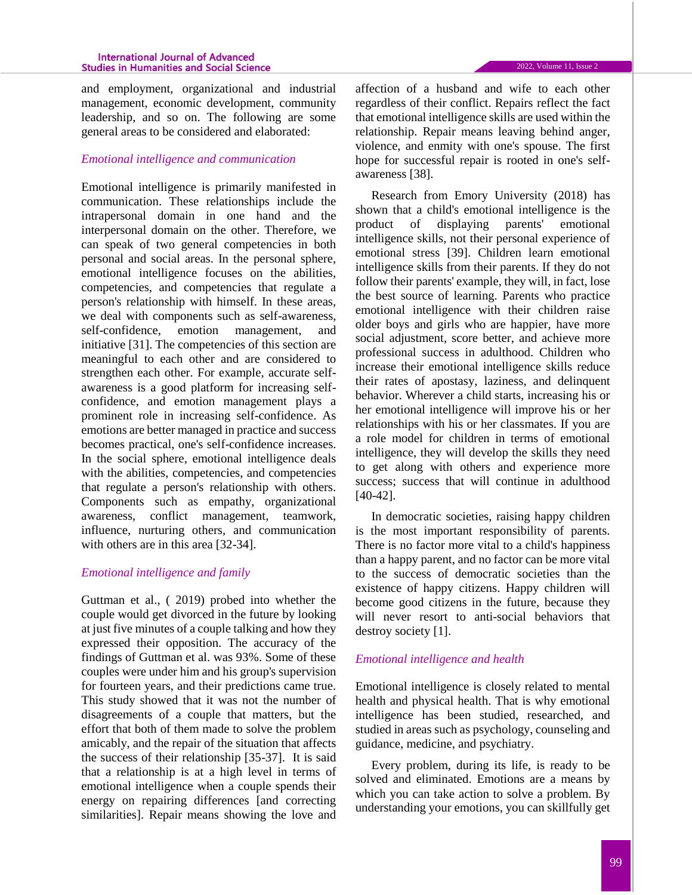#### **International Journal of Advanced Studies in Humanities and Social Science**

and employment, organizational and industrial management, economic development, community leadership, and so on. The following are some general areas to be considered and elaborated:

## *Emotional intelligence and communication*

Emotional intelligence is primarily manifested in communication. These relationships include the intrapersonal domain in one hand and the interpersonal domain on the other. Therefore, we can speak of two general competencies in both personal and social areas. In the personal sphere, emotional intelligence focuses on the abilities, competencies, and competencies that regulate a person's relationship with himself. In these areas, we deal with components such as self-awareness, self-confidence, emotion management, and initiative [31]. The competencies of this section are meaningful to each other and are considered to strengthen each other. For example, accurate selfawareness is a good platform for increasing selfconfidence, and emotion management plays a prominent role in increasing self-confidence. As emotions are better managed in practice and success becomes practical, one's self-confidence increases. In the social sphere, emotional intelligence deals with the abilities, competencies, and competencies that regulate a person's relationship with others. Components such as empathy, organizational awareness, conflict management, teamwork, influence, nurturing others, and communication with others are in this area [32-34].

# *Emotional intelligence and family*

Guttman et al., ( 2019) probed into whether the couple would get divorced in the future by looking at just five minutes of a couple talking and how they expressed their opposition. The accuracy of the findings of Guttman et al. was 93%. Some of these couples were under him and his group's supervision for fourteen years, and their predictions came true. This study showed that it was not the number of disagreements of a couple that matters, but the effort that both of them made to solve the problem amicably, and the repair of the situation that affects the success of their relationship [35-37]. It is said that a relationship is at a high level in terms of emotional intelligence when a couple spends their energy on repairing differences [and correcting similarities]. Repair means showing the love and affection of a husband and wife to each other regardless of their conflict. Repairs reflect the fact that emotional intelligence skills are used within the relationship. Repair means leaving behind anger, violence, and enmity with one's spouse. The first hope for successful repair is rooted in one's selfawareness [38].

Research from Emory University (2018) has shown that a child's emotional intelligence is the product of displaying parents' emotional intelligence skills, not their personal experience of emotional stress [39]. Children learn emotional intelligence skills from their parents. If they do not follow their parents' example, they will, in fact, lose the best source of learning. Parents who practice emotional intelligence with their children raise older boys and girls who are happier, have more social adjustment, score better, and achieve more professional success in adulthood. Children who increase their emotional intelligence skills reduce their rates of apostasy, laziness, and delinquent behavior. Wherever a child starts, increasing his or her emotional intelligence will improve his or her relationships with his or her classmates. If you are a role model for children in terms of emotional intelligence, they will develop the skills they need to get along with others and experience more success; success that will continue in adulthood [40-42].

In democratic societies, raising happy children is the most important responsibility of parents. There is no factor more vital to a child's happiness than a happy parent, and no factor can be more vital to the success of democratic societies than the existence of happy citizens. Happy children will become good citizens in the future, because they will never resort to anti-social behaviors that destroy society [1].

### *Emotional intelligence and health*

Emotional intelligence is closely related to mental health and physical health. That is why emotional intelligence has been studied, researched, and studied in areas such as psychology, counseling and guidance, medicine, and psychiatry.

Every problem, during its life, is ready to be solved and eliminated. Emotions are a means by which you can take action to solve a problem. By understanding your emotions, you can skillfully get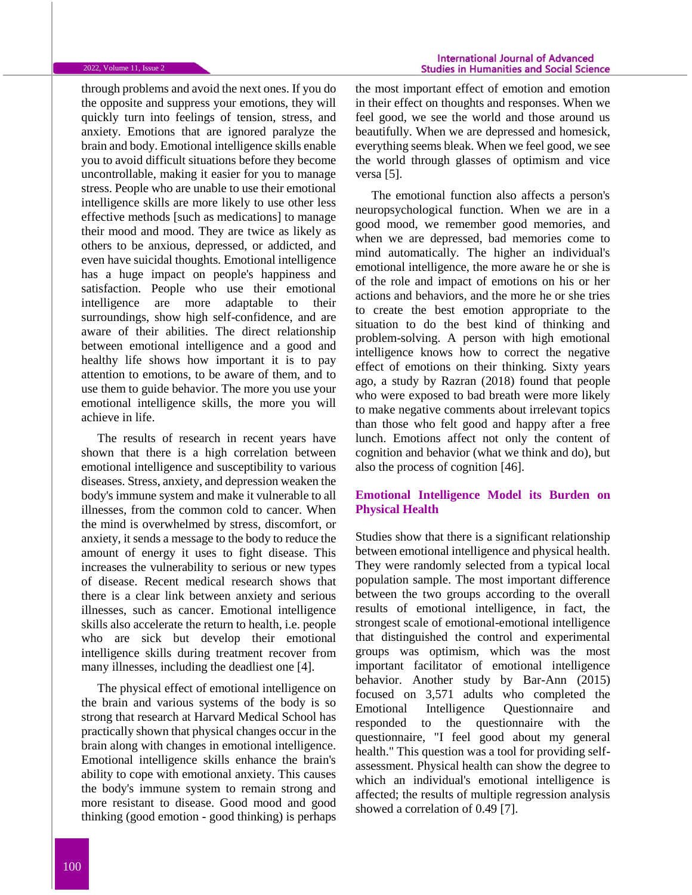through problems and avoid the next ones. If you do the opposite and suppress your emotions, they will quickly turn into feelings of tension, stress, and anxiety. Emotions that are ignored paralyze the brain and body. Emotional intelligence skills enable you to avoid difficult situations before they become uncontrollable, making it easier for you to manage stress. People who are unable to use their emotional intelligence skills are more likely to use other less effective methods [such as medications] to manage their mood and mood. They are twice as likely as others to be anxious, depressed, or addicted, and even have suicidal thoughts. Emotional intelligence has a huge impact on people's happiness and satisfaction. People who use their emotional intelligence are more adaptable to their surroundings, show high self-confidence, and are aware of their abilities. The direct relationship between emotional intelligence and a good and healthy life shows how important it is to pay attention to emotions, to be aware of them, and to use them to guide behavior. The more you use your emotional intelligence skills, the more you will achieve in life.

The results of research in recent years have shown that there is a high correlation between emotional intelligence and susceptibility to various diseases. Stress, anxiety, and depression weaken the body's immune system and make it vulnerable to all illnesses, from the common cold to cancer. When the mind is overwhelmed by stress, discomfort, or anxiety, it sends a message to the body to reduce the amount of energy it uses to fight disease. This increases the vulnerability to serious or new types of disease. Recent medical research shows that there is a clear link between anxiety and serious illnesses, such as cancer. Emotional intelligence skills also accelerate the return to health, i.e. people who are sick but develop their emotional intelligence skills during treatment recover from many illnesses, including the deadliest one [4].

The physical effect of emotional intelligence on the brain and various systems of the body is so strong that research at Harvard Medical School has practically shown that physical changes occur in the brain along with changes in emotional intelligence. Emotional intelligence skills enhance the brain's ability to cope with emotional anxiety. This causes the body's immune system to remain strong and more resistant to disease. Good mood and good thinking (good emotion - good thinking) is perhaps

the most important effect of emotion and emotion in their effect on thoughts and responses. When we feel good, we see the world and those around us beautifully. When we are depressed and homesick, everything seems bleak. When we feel good, we see the world through glasses of optimism and vice versa [5].

The emotional function also affects a person's neuropsychological function. When we are in a good mood, we remember good memories, and when we are depressed, bad memories come to mind automatically. The higher an individual's emotional intelligence, the more aware he or she is of the role and impact of emotions on his or her actions and behaviors, and the more he or she tries to create the best emotion appropriate to the situation to do the best kind of thinking and problem-solving. A person with high emotional intelligence knows how to correct the negative effect of emotions on their thinking. Sixty years ago, a study by Razran (2018) found that people who were exposed to bad breath were more likely to make negative comments about irrelevant topics than those who felt good and happy after a free lunch. Emotions affect not only the content of cognition and behavior (what we think and do), but also the process of cognition [46].

## **Emotional Intelligence Model its Burden on Physical Health**

Studies show that there is a significant relationship between emotional intelligence and physical health. They were randomly selected from a typical local population sample. The most important difference between the two groups according to the overall results of emotional intelligence, in fact, the strongest scale of emotional-emotional intelligence that distinguished the control and experimental groups was optimism, which was the most important facilitator of emotional intelligence behavior. Another study by Bar-Ann (2015) focused on 3,571 adults who completed the Emotional Intelligence Questionnaire and responded to the questionnaire with the questionnaire, "I feel good about my general health." This question was a tool for providing selfassessment. Physical health can show the degree to which an individual's emotional intelligence is affected; the results of multiple regression analysis showed a correlation of 0.49 [7].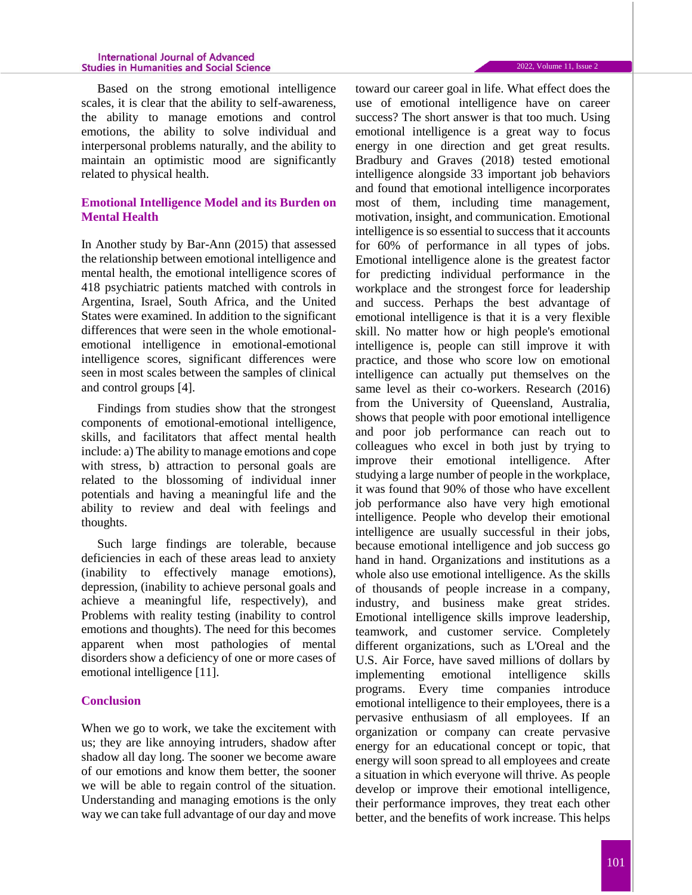#### **International Journal of Advanced Studies in Humanities and Social Science**

Based on the strong emotional intelligence scales, it is clear that the ability to self-awareness, the ability to manage emotions and control emotions, the ability to solve individual and interpersonal problems naturally, and the ability to maintain an optimistic mood are significantly related to physical health.

# **Emotional Intelligence Model and its Burden on Mental Health**

In Another study by Bar-Ann (2015) that assessed the relationship between emotional intelligence and mental health, the emotional intelligence scores of 418 psychiatric patients matched with controls in Argentina, Israel, South Africa, and the United States were examined. In addition to the significant differences that were seen in the whole emotionalemotional intelligence in emotional-emotional intelligence scores, significant differences were seen in most scales between the samples of clinical and control groups [4].

Findings from studies show that the strongest components of emotional-emotional intelligence, skills, and facilitators that affect mental health include: a) The ability to manage emotions and cope with stress, b) attraction to personal goals are related to the blossoming of individual inner potentials and having a meaningful life and the ability to review and deal with feelings and thoughts.

Such large findings are tolerable, because deficiencies in each of these areas lead to anxiety (inability to effectively manage emotions), depression, (inability to achieve personal goals and achieve a meaningful life, respectively), and Problems with reality testing (inability to control emotions and thoughts). The need for this becomes apparent when most pathologies of mental disorders show a deficiency of one or more cases of emotional intelligence [11].

# **Conclusion**

When we go to work, we take the excitement with us; they are like annoying intruders, shadow after shadow all day long. The sooner we become aware of our emotions and know them better, the sooner we will be able to regain control of the situation. Understanding and managing emotions is the only way we can take full advantage of our day and move

toward our career goal in life. What effect does the use of emotional intelligence have on career success? The short answer is that too much. Using emotional intelligence is a great way to focus energy in one direction and get great results. Bradbury and Graves (2018) tested emotional intelligence alongside 33 important job behaviors and found that emotional intelligence incorporates most of them, including time management, motivation, insight, and communication. Emotional intelligence is so essential to success that it accounts for 60% of performance in all types of jobs. Emotional intelligence alone is the greatest factor for predicting individual performance in the workplace and the strongest force for leadership and success. Perhaps the best advantage of emotional intelligence is that it is a very flexible skill. No matter how or high people's emotional intelligence is, people can still improve it with practice, and those who score low on emotional intelligence can actually put themselves on the same level as their co-workers. Research (2016) from the University of Queensland, Australia, shows that people with poor emotional intelligence and poor job performance can reach out to colleagues who excel in both just by trying to improve their emotional intelligence. After studying a large number of people in the workplace, it was found that 90% of those who have excellent job performance also have very high emotional intelligence. People who develop their emotional intelligence are usually successful in their jobs, because emotional intelligence and job success go hand in hand. Organizations and institutions as a whole also use emotional intelligence. As the skills of thousands of people increase in a company, industry, and business make great strides. Emotional intelligence skills improve leadership, teamwork, and customer service. Completely different organizations, such as L'Oreal and the U.S. Air Force, have saved millions of dollars by implementing emotional intelligence skills programs. Every time companies introduce emotional intelligence to their employees, there is a pervasive enthusiasm of all employees. If an organization or company can create pervasive energy for an educational concept or topic, that energy will soon spread to all employees and create a situation in which everyone will thrive. As people develop or improve their emotional intelligence, their performance improves, they treat each other better, and the benefits of work increase. This helps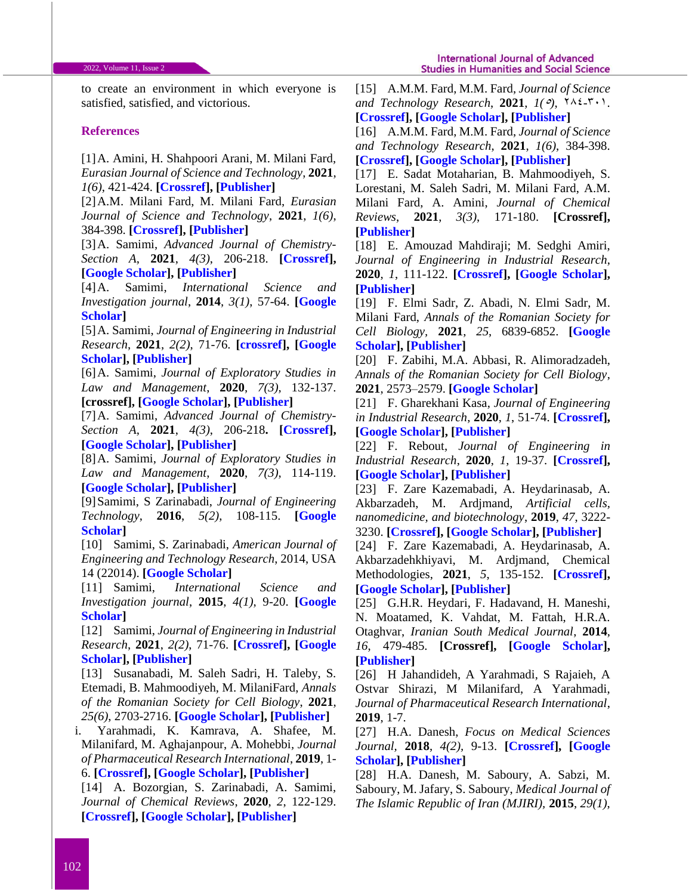to create an environment in which everyone is satisfied, satisfied, and victorious.

#### **References**

[1]A. Amini, H. Shahpoori Arani, M. Milani Fard, *Eurasian Journal of Science and Technology*, **2021**, *1(6)*, 421-424. **[\[Crossref\]](10.22034/jstr.2021.291347.1050), [\[Publisher\]](http://ejst.samipubco.com/article_133942.html)**

[2]A.M. Milani Fard, M. Milani Fard, *Eurasian Journal of Science and Technology*, **2021**, *1(6)*, 384-398. **[\[Crossref\]](10.22034/jstr.2021.289470.1047), [\[Publisher\]](http://ejst.samipubco.com/article_132494.html)**

[3]A. Samimi, *Advanced Journal of Chemistry-Section A*, **2021**, *4(3)*, 206-218. **[\[Crossref\]](http://dx.doi.org/10.22034/ajca.2021.277905.1248), [\[Google Scholar\]](https://scholar.google.com/citations?hl=en&user=YhvFZdcAAAAJ&view_op=list_works&sortby=pubdate), [\[Publisher\]](http://www.ajchem-a.com/article_130196.html)**

[4]A. Samimi, *International Science and Investigation journal*, **2014**, *3(1)*, 57-64. **[\[Google](https://scholar.google.com/citations?hl=en&user=YhvFZdcAAAAJ&view_op=list_works&sortby=pubdate)  [Scholar\]](https://scholar.google.com/citations?hl=en&user=YhvFZdcAAAAJ&view_op=list_works&sortby=pubdate)**

[5]A. Samimi, *Journal of Engineering in Industrial Research*, **2021**, *2(2)*, 71-76. **[\[crossref\]](http://dx.doi.org/10.22034/jeires.2021.269282.1021), [\[Google](https://scholar.google.com/citations?hl=en&user=YhvFZdcAAAAJ&view_op=list_works&sortby=pubdate)  [Scholar\]](https://scholar.google.com/citations?hl=en&user=YhvFZdcAAAAJ&view_op=list_works&sortby=pubdate), [\[Publisher\]](http://www.jeires.com/article_129037.html)**

[6]A. Samimi, *Journal of Exploratory Studies in Law and Management*, **2020**, *7(3)*, 132-137. **[crossref], [\[Google Scholar\]](https://scholar.google.com/citations?hl=en&user=YhvFZdcAAAAJ&view_op=list_works&sortby=pubdate), [\[Publisher\]](http://worldofresearches.com/ojs-2.4.4-1/index.php/CJNMS/article/view/941)**

[7]A. Samimi, *Advanced Journal of Chemistry-Section A*, **2021**, *4(3)*, 206-218**. [\[Crossref\]](10.22034/ajca.2021.277905.1248), [\[Google Scholar\]](https://scholar.google.com/citations?hl=en&user=YhvFZdcAAAAJ&view_op=list_works&sortby=pubdate), [\[Publisher\]](http://www.ajchem-a.com/article_130196.html)**

[8]A. Samimi, *Journal of Exploratory Studies in Law and Management*, **2020**, *7(3)*, 114-119. **[\[Google Scholar\]](https://scholar.google.com/citations?hl=en&user=YhvFZdcAAAAJ&view_op=list_works&sortby=pubdate), [\[Publisher\]](http://worldofresearches.com/ojs-2.4.4-1/index.php/CJNMS/issue/view/115)**

[9]Samimi, S Zarinabadi, *Journal of Engineering Technology*, **2016**, *5(2)*, 108-115. **[\[Google](https://scholar.google.com/citations?hl=en&user=YhvFZdcAAAAJ&view_op=list_works&sortby=pubdate)  [Scholar\]](https://scholar.google.com/citations?hl=en&user=YhvFZdcAAAAJ&view_op=list_works&sortby=pubdate)**

[10] Samimi, S. Zarinabadi, *American Journal of Engineering and Technology Research*, 2014, USA 14 (22014). **[\[Google Scholar\]](https://scholar.google.com/citations?hl=en&user=YhvFZdcAAAAJ&view_op=list_works&sortby=pubdate)**

[11] Samimi, *International Science and Investigation journal*, **2015**, *4(1)*, 9-20. **[\[Google](https://scholar.google.com/citations?hl=en&user=YhvFZdcAAAAJ&view_op=list_works&sortby=pubdate)  [Scholar\]](https://scholar.google.com/citations?hl=en&user=YhvFZdcAAAAJ&view_op=list_works&sortby=pubdate)**

[12] Samimi, *Journal of Engineering in Industrial Research*, **2021**, *2(2)*, 71-76. **[\[Crossref\]](https://dx.doi.org/10.22034/jeires.2021.269282.1021), [\[Google](https://scholar.google.com/citations?hl=en&user=YhvFZdcAAAAJ&view_op=list_works&sortby=pubdate)  [Scholar\]](https://scholar.google.com/citations?hl=en&user=YhvFZdcAAAAJ&view_op=list_works&sortby=pubdate), [\[Publisher\]](http://www.jeires.com/article_129037.html)**

[13] Susanabadi, M. Saleh Sadri, H. Taleby, S. Etemadi, B. Mahmoodiyeh, M. MilaniFard, *Annals of the Romanian Society for Cell Biology*, **2021**, *25(6)*, 2703-2716. **[\[Google Scholar\]](https://scholar.google.com/scholar?hl=en&as_sdt=0%2C5&q=A+Susanabadi%2C+M+Saleh+Sadri%2C+H+Taleby%2C+S+Etemadi%2C+B+Mahmoodiyeh%2C+M+MilaniFard%2C+Evaluating+the+Outcome+of+Total+Intravenous+Anesthesia+and+Single+Drug+Pharmacological+to+Prevent+Postoperative+Vomiting%3A+Systematic+Review+and+Meta-Analysis%2C+Annals+of+the+&btnG=), [\[Publisher\]](https://www.annalsofrscb.ro/index.php/journal/article/view/5896)**

i. Yarahmadi, K. Kamrava, A. Shafee, M. Milanifard, M. Aghajanpour, A. Mohebbi*, Journal of Pharmaceutical Research International*, **2019**, 1- 6. **[\[Crossref\]](10.9734/jpri/2019/v31i630369), [\[Google Scholar\]](https://scholar.google.com/scholar?hl=en&as_sdt=0%2C5&q=Investigation+of+Olfactory+Function+Following+Septorhinoplasty+in+Iranian+Population+by+Rapid+Smell+Test+%28RST%29&btnG=), [\[Publisher\]](https://www.journaljpri.com/index.php/JPRI/article/view/30369)**

[14] A. Bozorgian, S. Zarinabadi, A. Samimi, *Journal of Chemical Reviews*, **2020**, *2*, 122-129. **[\[Crossref\]](https://dx.doi.org/10.33945/SAMI/JCR.2020.2.5), [\[Google Scholar\]](https://scholar.google.com/scholar?hl=en&as_sdt=0%2C5&q=+Optimization+of+Well+Production+by+Designing+a+Core+pipe+in+one+of+the+Southwest+oil+Wells+of+Iran&btnG=), [\[Publisher\]](http://www.jchemrev.com/article_103699.html)**

[15] A.M.M. Fard, M.M. Fard, *Journal of Science and Technology Research, 2021, 1(°),*  $\forall \lambda \in \mathcal{F}(\cdot)$ *.* **[\[Crossref\]](https://doi.org/10.22034/JSTR.2021.289424.1046), [\[Google Scholar\]](https://scholar.google.com/citations?user=EvCwnBMAAAAJ&hl=en), [\[Publisher\]](http://jstr.samipubco.com/article_132074.html)**

[16] A.M.M. Fard, M.M. Fard, *Journal of Science and Technology Research*, **2021**, *1(6)*, 384-398. **[\[Crossref\]](http://dx.doi.org/10.22034/jstr.2021.289470.1047), [\[Google Scholar\]](https://scholar.google.com/citations?user=EvCwnBMAAAAJ&hl=en), [\[Publisher\]](http://jstr.samipubco.com/article_132494.html)**

[17] E. Sadat Motaharian, B. Mahmoodiyeh, S. Lorestani, M. Saleh Sadri, M. Milani Fard, A.M. Milani Fard, A. Amini, *Journal of Chemical Reviews*, **2021**, *3(3)*, 171-180. **[Crossref], [\[Publisher\]](http://www.jchemrev.com/article_133038.html)**

[18] E. Amouzad Mahdiraji; M. Sedghi Amiri, *Journal of Engineering in Industrial Research*, **2020**, *1*, 111-122. **[\[Crossref\]](http://dx.doi.org/10.22034/jeires.2020.261386.1004), [\[Google Scholar\]](https://scholar.google.com/scholar?hl=en&as_sdt=0%2C5&q=Optimization+of+Market+Clearing+Process+in+Power+System+with+NSGA+Algorithm&btnG=), [\[Publisher\]](http://www.jeires.com/article_120273.html)**

[19] F. Elmi Sadr, Z. Abadi, N. Elmi Sadr, M. Milani Fard, *Annals of the Romanian Society for Cell Biology,* **2021**, *25*, 6839-6852. **[\[Google](https://scholar.google.com/scholar?hl=en&as_sdt=0%2C5&q=F+Elmi+Sadr%2C+Z+Abadi%2C+N+Elmi+Sadr%2C+M+Milani+Fard%2C+Annals+of+the+Romanian+Society+for+Cell+Biology&btnG=)  [Scholar\]](https://scholar.google.com/scholar?hl=en&as_sdt=0%2C5&q=F+Elmi+Sadr%2C+Z+Abadi%2C+N+Elmi+Sadr%2C+M+Milani+Fard%2C+Annals+of+the+Romanian+Society+for+Cell+Biology&btnG=), [\[Publisher\]](https://www.annalsofrscb.ro/index.php/journal/article/view/852)**

[20] F. Zabihi, M.A. Abbasi, R. Alimoradzadeh, *Annals of the Romanian Society for Cell Biology*, **2021**, 2573–2579. **[\[Google Scholar\]](https://scholar.google.com/scholar?hl=en&as_sdt=0%2C5&q=F+Zabihi%2C+MA+Abbasi%2C+R+Alimoradzadeh%2C+The+Association+of+Serum+Albumin+Level+with+Cognition+and+Daily+Function+in+Patients+Undergoing+Hemodialysis%2C+Annals+of+the+Romanian+Society+for+Cell+Biology&btnG=)**

[21] F. Gharekhani Kasa, *Journal of Engineering in Industrial Research*, **2020**, *1*, 51-74. **[\[Crossref\]](http://dx.doi.org/10.22034/jeires.2020.262801.1008), [\[Google Scholar\]](https://scholar.google.com/scholar?hl=en&as_sdt=0%2C5&q=A+Study+of+the+Architectural+Design+of+Contemporary+Museums+in+Iran%2C&btnG=), [\[Publisher\]](http://www.jeires.com/article_120681.html)**

[22] F. Rebout, *Journal of Engineering in Industrial Research*, **2020**, *1*, 19-37. **[\[Crossref\]](http://dx.doi.org/10.22034/jeires.2020.262514.1006), [\[Google Scholar\]](https://scholar.google.com/scholar?hl=en&as_sdt=0%2C5&q=CFA+Performance+Evaluation%3A+a+Comprehensive+Structural+Equation+Modeling%2C+&btnG=), [\[Publisher\]](http://www.jeires.com/article_120575.html)**

[23] F. Zare Kazemabadi, A. Heydarinasab, A. Akbarzadeh, M. Ardjmand, *Artificial cells, nanomedicine, and biotechnology*, **2019**, *47*, 3222- 3230. **[\[Crossref\]](file:///E:/Dr%20Samimi/Bearbeiten/Schablone/Journal%20of%20Science%20and%20Technology%20Research/JSTR-2105-1033/10.1080/21691401.2019.1646265), [\[Google Scholar\]](https://scholar.google.com/citations?hl=en&user=3cWk2lkAAAAJ), [\[Publisher\]](http://www.ijnc.ir/article_38621.html)**

[24] F. Zare Kazemabadi, A. Heydarinasab, A. Akbarzadehkhiyavi, M. Ardjmand, Chemical Methodologies, **2021**, *5*, 135-152. **[\[Crossref\]](http://dx.doi.org/10.22034/chemm.2021.121495), [\[Google Scholar\]](https://scholar.google.com/citations?hl=en&user=3cWk2lkAAAAJ), [\[Publisher\]](http://www.ijnc.ir/article_38621.html)**

[25] G.H.R. Heydari, F. Hadavand, H. Maneshi, N. Moatamed, K. Vahdat, M. Fattah, H.R.A. Otaghvar, *Iranian South Medical Journal*, **2014**, *16*, 479-485. **[Crossref], [\[Google Scholar\]](https://scholar.google.com/scholar?hl=en&as_sdt=0%2C5&q=Evaluation+of+resistancy+to+imipenem+in+positive+blood+culture+in+bushehr+educational+hospitals+-1389&btnG=), [\[Publisher\]](https://ismj.bpums.ac.ir/article-1-478-en.html)**

[26] H Jahandideh, A Yarahmadi, S Rajaieh, A Ostvar Shirazi, M Milanifard, A Yarahmadi, *Journal of Pharmaceutical Research International*, **2019**, 1-7.

[27] H.A. Danesh, *Focus on Medical Sciences Journal,* **2018**, *4(2),* 9-13. **[\[Crossref\]](javascript:void(0)), [\[Google](https://scholar.google.com/scholar?hl=en&as_sdt=0%2C5&q=The+Effect+of+Interventional+Education+on+Knowledge+about+Medical+Documentation+and+Medical+Ethics+in+the+Residents+of+Arak+University+of+Medical+Sciences&btnG=)  [Scholar\]](https://scholar.google.com/scholar?hl=en&as_sdt=0%2C5&q=The+Effect+of+Interventional+Education+on+Knowledge+about+Medical+Documentation+and+Medical+Ethics+in+the+Residents+of+Arak+University+of+Medical+Sciences&btnG=), [\[Publisher\]](javascript:void(0))**

[28] H.A. Danesh, M. Saboury, A. Sabzi, M. Saboury, M. Jafary, S. Saboury, *Medical Journal of The Islamic Republic of Iran (MJIRI),* **2015**, *29(1)*,